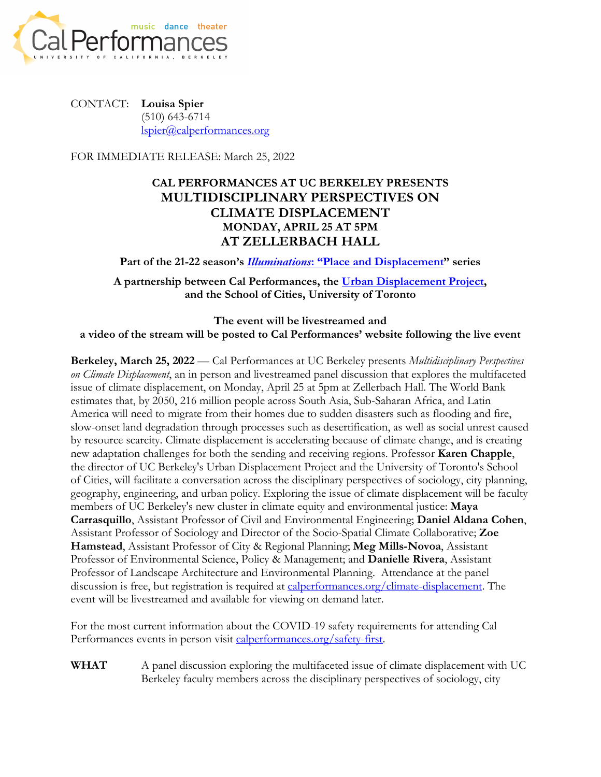

CONTACT: **Louisa Spier** (510) 643-6714 lspier@calperformances.org

FOR IMMEDIATE RELEASE: March 25, 2022

## **CAL PERFORMANCES AT UC BERKELEY PRESENTS MULTIDISCIPLINARY PERSPECTIVES ON CLIMATE DISPLACEMENT MONDAY, APRIL 25 AT 5PM AT ZELLERBACH HALL**

**Part of the 21-22 season's** *Illuminations***: "Place and Displacement" series**

**A partnership between Cal Performances, the Urban Displacement Project, and the School of Cities, University of Toronto**

**The event will be livestreamed and a video of the stream will be posted to Cal Performances' website following the live event**

**Berkeley, March 25, 2022** — Cal Performances at UC Berkeley presents *Multidisciplinary Perspectives on Climate Displacement*, an in person and livestreamed panel discussion that explores the multifaceted issue of climate displacement, on Monday, April 25 at 5pm at Zellerbach Hall. The World Bank estimates that, by 2050, 216 million people across South Asia, Sub-Saharan Africa, and Latin America will need to migrate from their homes due to sudden disasters such as flooding and fire, slow-onset land degradation through processes such as desertification, as well as social unrest caused by resource scarcity. Climate displacement is accelerating because of climate change, and is creating new adaptation challenges for both the sending and receiving regions. Professor **Karen Chapple**, the director of UC Berkeley's Urban Displacement Project and the University of Toronto's School of Cities, will facilitate a conversation across the disciplinary perspectives of sociology, city planning, geography, engineering, and urban policy. Exploring the issue of climate displacement will be faculty members of UC Berkeley's new cluster in climate equity and environmental justice: **Maya Carrasquillo**, Assistant Professor of Civil and Environmental Engineering; **Daniel Aldana Cohen**, Assistant Professor of Sociology and Director of the Socio-Spatial Climate Collaborative; **Zoe Hamstead**, Assistant Professor of City & Regional Planning; **Meg Mills-Novoa**, Assistant Professor of Environmental Science, Policy & Management; and **Danielle Rivera**, Assistant Professor of Landscape Architecture and Environmental Planning. Attendance at the panel discussion is free, but registration is required at calperformances.org/climate-displacement. The event will be livestreamed and available for viewing on demand later.

For the most current information about the COVID-19 safety requirements for attending Cal Performances events in person visit calperformances.org/safety-first.

**WHAT** A panel discussion exploring the multifaceted issue of climate displacement with UC Berkeley faculty members across the disciplinary perspectives of sociology, city